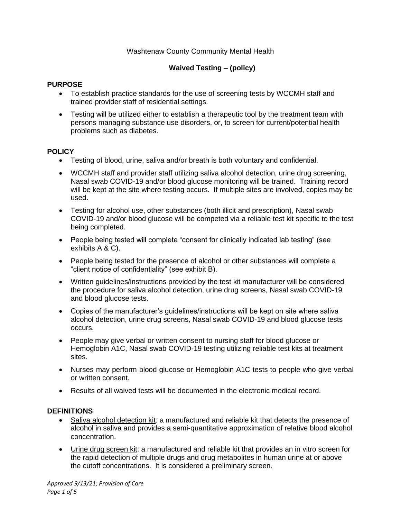## Washtenaw County Community Mental Health

# **Waived Testing – (policy)**

#### **PURPOSE**

- To establish practice standards for the use of screening tests by WCCMH staff and trained provider staff of residential settings.
- Testing will be utilized either to establish a therapeutic tool by the treatment team with persons managing substance use disorders, or, to screen for current/potential health problems such as diabetes.

#### **POLICY**

- Testing of blood, urine, saliva and/or breath is both voluntary and confidential.
- WCCMH staff and provider staff utilizing saliva alcohol detection, urine drug screening, Nasal swab COVID-19 and/or blood glucose monitoring will be trained. Training record will be kept at the site where testing occurs. If multiple sites are involved, copies may be used.
- Testing for alcohol use, other substances (both illicit and prescription), Nasal swab COVID-19 and/or blood glucose will be competed via a reliable test kit specific to the test being completed.
- People being tested will complete "consent for clinically indicated lab testing" (see exhibits A & C).
- People being tested for the presence of alcohol or other substances will complete a "client notice of confidentiality" (see exhibit B).
- Written guidelines/instructions provided by the test kit manufacturer will be considered the procedure for saliva alcohol detection, urine drug screens, Nasal swab COVID-19 and blood glucose tests.
- Copies of the manufacturer's guidelines/instructions will be kept on site where saliva alcohol detection, urine drug screens, Nasal swab COVID-19 and blood glucose tests occurs.
- People may give verbal or written consent to nursing staff for blood glucose or Hemoglobin A1C, Nasal swab COVID-19 testing utilizing reliable test kits at treatment sites.
- Nurses may perform blood glucose or Hemoglobin A1C tests to people who give verbal or written consent.
- Results of all waived tests will be documented in the electronic medical record.

#### **DEFINITIONS**

- Saliva alcohol detection kit: a manufactured and reliable kit that detects the presence of alcohol in saliva and provides a semi-quantitative approximation of relative blood alcohol concentration.
- Urine drug screen kit: a manufactured and reliable kit that provides an in vitro screen for the rapid detection of multiple drugs and drug metabolites in human urine at or above the cutoff concentrations. It is considered a preliminary screen.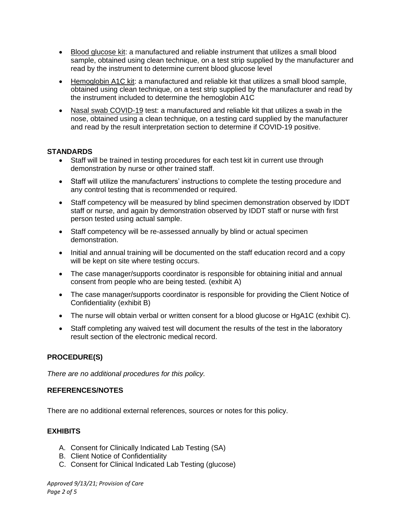- Blood glucose kit: a manufactured and reliable instrument that utilizes a small blood sample, obtained using clean technique, on a test strip supplied by the manufacturer and read by the instrument to determine current blood glucose level
- Hemoglobin A1C kit: a manufactured and reliable kit that utilizes a small blood sample, obtained using clean technique, on a test strip supplied by the manufacturer and read by the instrument included to determine the hemoglobin A1C
- Nasal swab COVID-19 test: a manufactured and reliable kit that utilizes a swab in the nose, obtained using a clean technique, on a testing card supplied by the manufacturer and read by the result interpretation section to determine if COVID-19 positive.

## **STANDARDS**

- Staff will be trained in testing procedures for each test kit in current use through demonstration by nurse or other trained staff.
- Staff will utilize the manufacturers' instructions to complete the testing procedure and any control testing that is recommended or required.
- Staff competency will be measured by blind specimen demonstration observed by IDDT staff or nurse, and again by demonstration observed by IDDT staff or nurse with first person tested using actual sample.
- Staff competency will be re-assessed annually by blind or actual specimen demonstration.
- Initial and annual training will be documented on the staff education record and a copy will be kept on site where testing occurs.
- The case manager/supports coordinator is responsible for obtaining initial and annual consent from people who are being tested. (exhibit A)
- The case manager/supports coordinator is responsible for providing the Client Notice of Confidentiality (exhibit B)
- The nurse will obtain verbal or written consent for a blood glucose or HgA1C (exhibit C).
- Staff completing any waived test will document the results of the test in the laboratory result section of the electronic medical record.

# **PROCEDURE(S)**

*There are no additional procedures for this policy.*

#### **REFERENCES/NOTES**

There are no additional external references, sources or notes for this policy.

#### **EXHIBITS**

- A. Consent for Clinically Indicated Lab Testing (SA)
- B. Client Notice of Confidentiality
- C. Consent for Clinical Indicated Lab Testing (glucose)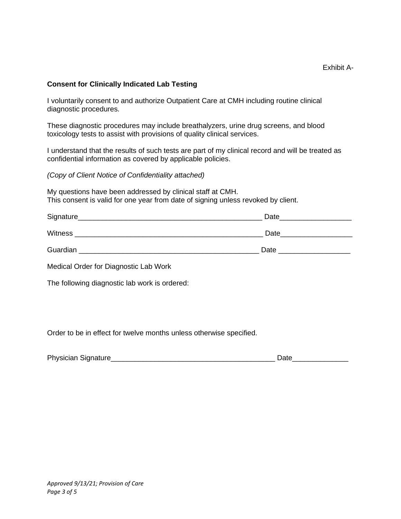## **Consent for Clinically Indicated Lab Testing**

I voluntarily consent to and authorize Outpatient Care at CMH including routine clinical diagnostic procedures.

These diagnostic procedures may include breathalyzers, urine drug screens, and blood toxicology tests to assist with provisions of quality clinical services.

I understand that the results of such tests are part of my clinical record and will be treated as confidential information as covered by applicable policies.

*(Copy of Client Notice of Confidentiality attached)*

My questions have been addressed by clinical staff at CMH. This consent is valid for one year from date of signing unless revoked by client.

| Signature_     | Date |
|----------------|------|
| <b>Witness</b> | Date |
| Guardian       | Date |

Medical Order for Diagnostic Lab Work

The following diagnostic lab work is ordered:

Order to be in effect for twelve months unless otherwise specified.

| <b>Physician Signature</b> |  |
|----------------------------|--|
|                            |  |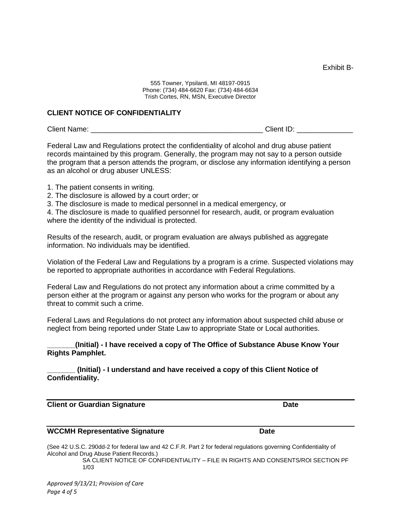Exhibit B-

555 Towner, Ypsilanti, MI 48197-0915 Phone: (734) 484-6620 Fax: (734) 484-6634 Trish Cortes, RN, MSN, Executive Director

#### **CLIENT NOTICE OF CONFIDENTIALITY**

Client Name: \_\_\_\_\_\_\_\_\_\_\_\_\_\_\_\_\_\_\_\_\_\_\_\_\_\_\_\_\_\_\_\_\_\_\_\_\_\_\_\_\_\_\_ Client ID: \_\_\_\_\_\_\_\_\_\_\_\_\_\_

Federal Law and Regulations protect the confidentiality of alcohol and drug abuse patient records maintained by this program. Generally, the program may not say to a person outside the program that a person attends the program, or disclose any information identifying a person as an alcohol or drug abuser UNLESS:

- 1. The patient consents in writing.
- 2. The disclosure is allowed by a court order; or
- 3. The disclosure is made to medical personnel in a medical emergency, or

4. The disclosure is made to qualified personnel for research, audit, or program evaluation where the identity of the individual is protected.

Results of the research, audit, or program evaluation are always published as aggregate information. No individuals may be identified.

Violation of the Federal Law and Regulations by a program is a crime. Suspected violations may be reported to appropriate authorities in accordance with Federal Regulations.

Federal Law and Regulations do not protect any information about a crime committed by a person either at the program or against any person who works for the program or about any threat to commit such a crime.

Federal Laws and Regulations do not protect any information about suspected child abuse or neglect from being reported under State Law to appropriate State or Local authorities.

**\_\_\_\_\_\_\_(Initial) - I have received a copy of The Office of Substance Abuse Know Your Rights Pamphlet.**

**\_\_\_\_\_\_\_ (Initial) - I understand and have received a copy of this Client Notice of Confidentiality.** 

**Client or Guardian Signature Community Client Community Cate** 

#### **WCCMH Representative Signature Date**

(See 42 U.S.C. 290dd-2 for federal law and 42 C.F.R. Part 2 for federal regulations governing Confidentiality of Alcohol and Drug Abuse Patient Records.)

SA CLIENT NOTICE OF CONFIDENTIALITY – FILE IN RIGHTS AND CONSENTS/ROI SECTION PF 1/03